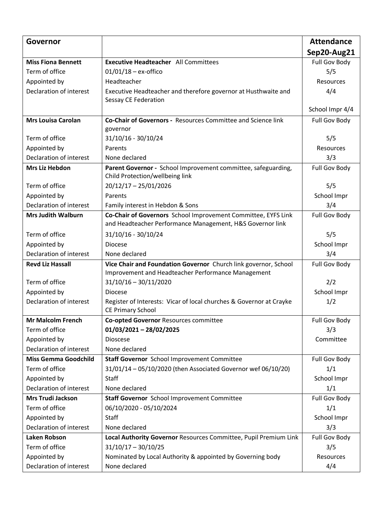| Governor                    |                                                                                                                            | <b>Attendance</b>    |
|-----------------------------|----------------------------------------------------------------------------------------------------------------------------|----------------------|
|                             |                                                                                                                            | Sep20-Aug21          |
| <b>Miss Fiona Bennett</b>   | <b>Executive Headteacher</b> All Committees                                                                                | <b>Full Gov Body</b> |
| Term of office              | $01/01/18 - ex\text{-offico}$                                                                                              | 5/5                  |
| Appointed by                | Headteacher                                                                                                                | Resources            |
| Declaration of interest     | Executive Headteacher and therefore governor at Husthwaite and<br>Sessay CE Federation                                     | 4/4                  |
|                             |                                                                                                                            | School Impr 4/4      |
| <b>Mrs Louisa Carolan</b>   | <b>Co-Chair of Governors - Resources Committee and Science link</b>                                                        | <b>Full Gov Body</b> |
|                             | governor                                                                                                                   |                      |
| Term of office              | 31/10/16 - 30/10/24                                                                                                        | 5/5                  |
| Appointed by                | Parents                                                                                                                    | Resources            |
| Declaration of interest     | None declared                                                                                                              | 3/3                  |
| <b>Mrs Liz Hebdon</b>       | Parent Governor - School Improvement committee, safeguarding,<br>Child Protection/wellbeing link                           | Full Gov Body        |
| Term of office              | $20/12/17 - 25/01/2026$                                                                                                    | 5/5                  |
| Appointed by                | Parents                                                                                                                    | School Impr          |
| Declaration of interest     | Family interest in Hebdon & Sons                                                                                           | 3/4                  |
| <b>Mrs Judith Walburn</b>   | Co-Chair of Governors School Improvement Committee, EYFS Link<br>and Headteacher Performance Management, H&S Governor link | <b>Full Gov Body</b> |
| Term of office              | 31/10/16 - 30/10/24                                                                                                        | 5/5                  |
| Appointed by                | <b>Diocese</b>                                                                                                             | School Impr          |
| Declaration of interest     | None declared                                                                                                              | 3/4                  |
| <b>Revd Liz Hassall</b>     | Vice Chair and Foundation Governor Church link governor, School                                                            | <b>Full Gov Body</b> |
|                             | Improvement and Headteacher Performance Management                                                                         |                      |
| Term of office              | $31/10/16 - 30/11/2020$                                                                                                    | 2/2                  |
| Appointed by                | <b>Diocese</b>                                                                                                             | School Impr          |
| Declaration of interest     | Register of Interests: Vicar of local churches & Governor at Crayke<br><b>CE Primary School</b>                            | 1/2                  |
| <b>Mr Malcolm French</b>    | <b>Co-opted Governor Resources committee</b>                                                                               | Full Gov Body        |
| Term of office              | $01/03/2021 - 28/02/2025$                                                                                                  | 3/3                  |
| Appointed by                | <b>Dioscese</b>                                                                                                            | Committee            |
| Declaration of interest     | None declared                                                                                                              |                      |
| <b>Miss Gemma Goodchild</b> | <b>Staff Governor</b> School Improvement Committee                                                                         | Full Gov Body        |
| Term of office              | 31/01/14 - 05/10/2020 (then Associated Governor wef 06/10/20)                                                              | 1/1                  |
| Appointed by                | Staff                                                                                                                      | School Impr          |
| Declaration of interest     | None declared                                                                                                              | 1/1                  |
| <b>Mrs Trudi Jackson</b>    | Staff Governor School Improvement Committee                                                                                | Full Gov Body        |
| Term of office              | 06/10/2020 - 05/10/2024                                                                                                    | 1/1                  |
| Appointed by                | Staff                                                                                                                      | School Impr          |
| Declaration of interest     | None declared                                                                                                              | 3/3                  |
| Laken Robson                | Local Authority Governor Resources Committee, Pupil Premium Link                                                           | Full Gov Body        |
| Term of office              | $31/10/17 - 30/10/25$                                                                                                      | 3/5                  |
| Appointed by                | Nominated by Local Authority & appointed by Governing body                                                                 | Resources            |
| Declaration of interest     | None declared                                                                                                              | 4/4                  |